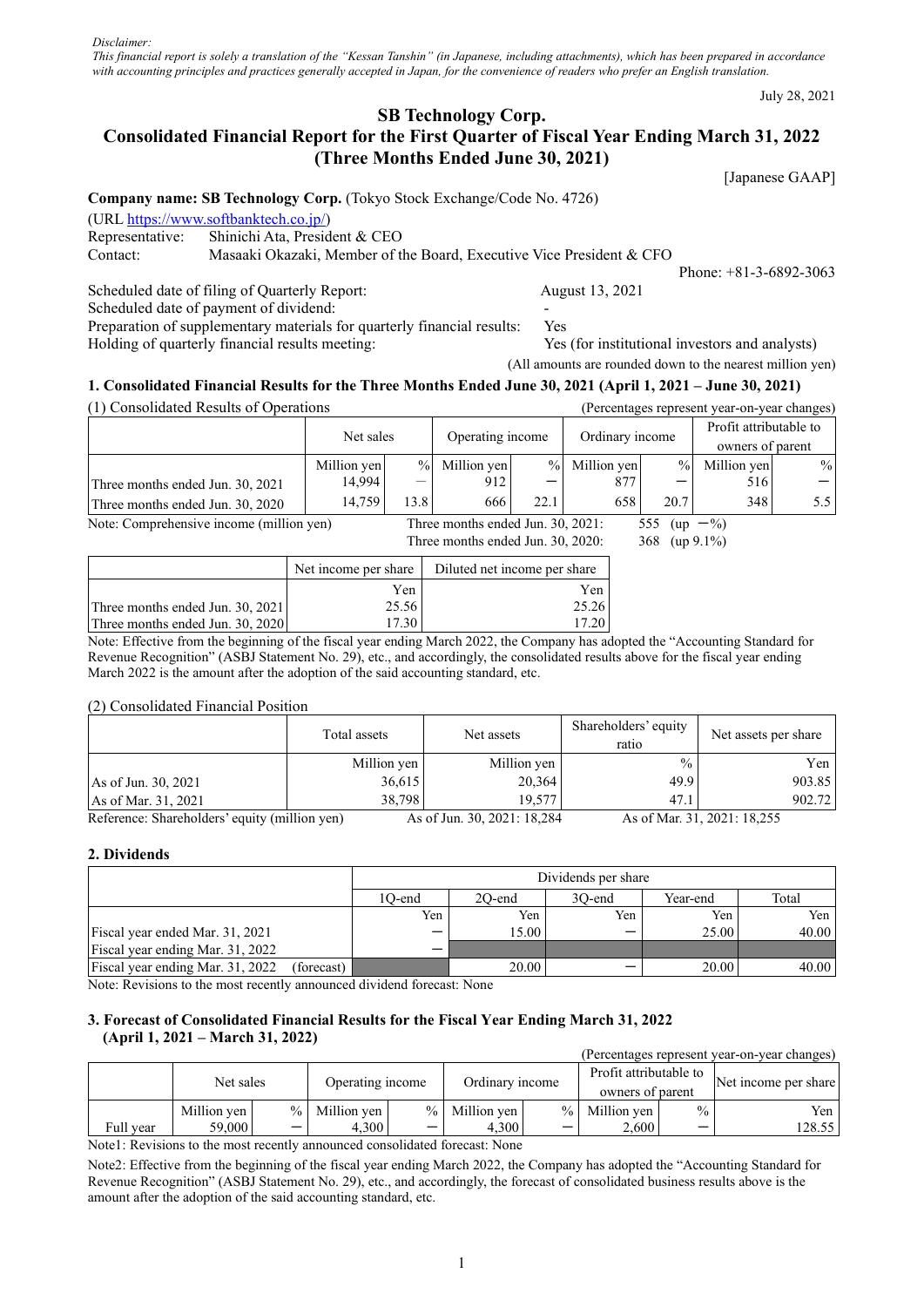July 28, 2021

# **SB Technology Corp.**

# **Consolidated Financial Report for the First Quarter of Fiscal Year Ending March 31, 2022 (Three Months Ended June 30, 2021)** [Japanese GAAP]

**Company name: SB Technology Corp.** (Tokyo Stock Exchange/Code No. 4726)

(URL [https://www.softbanktech.co.jp/\)](https://www.softbanktech.co.jp/) Representative: Shinichi Ata, President & CEO

Contact: Masaaki Okazaki, Member of the Board, Executive Vice President & CFO

Phone: +81-3-6892-3063

Scheduled date of filing of Quarterly Report: August 13, 2021 Scheduled date of payment of dividend: Preparation of supplementary materials for quarterly financial results: Yes Holding of quarterly financial results meeting: Yes (for institutional investors and analysts)

(All amounts are rounded down to the nearest million yen)

# **1. Consolidated Financial Results for the Three Months Ended June 30, 2021 (April 1, 2021 – June 30, 2021)**

| (1) Consolidated Results of Operations |           | (Percentages represent year-on-year changes) |                 |                        |
|----------------------------------------|-----------|----------------------------------------------|-----------------|------------------------|
|                                        | Net sales |                                              | Ordinary income | Profit attributable to |
|                                        |           | Operating income                             |                 | owners of parent       |

|                                          | <b>TYOL SAIGS</b> |      | Operating income                  |               | ORTHIGHTY HILOTHE |                   | owners of parent |      |
|------------------------------------------|-------------------|------|-----------------------------------|---------------|-------------------|-------------------|------------------|------|
|                                          | Million yen       |      | % Million yen                     | $\frac{0}{0}$ | Million yen       |                   | % Million yen    | $\%$ |
| Three months ended Jun. 30, 2021         | 14.994            |      | 912                               |               | 877               |                   | 516              |      |
| Three months ended Jun. 30, 2020         | 14.759            | 13.8 | 666                               | 22.1          | 658.              | 20.7              | 348              | 5.5  |
| Note: Comprehensive income (million yen) |                   |      | Three months ended Jun. 30, 2021: |               |                   | 555 (up $-\%$ )   |                  |      |
|                                          |                   |      | Three months ended Jun. 30, 2020: |               |                   | 368 (up $9.1\%$ ) |                  |      |

|                                  | Net income per share | Diluted net income per share |
|----------------------------------|----------------------|------------------------------|
|                                  | Yen.                 | Yen                          |
| Three months ended Jun. 30, 2021 | 25.56                | 25.26                        |
| Three months ended Jun. 30, 2020 | 17.30                | 17.20                        |

Note: Effective from the beginning of the fiscal year ending March 2022, the Company has adopted the "Accounting Standard for Revenue Recognition" (ASBJ Statement No. 29), etc., and accordingly, the consolidated results above for the fiscal year ending March 2022 is the amount after the adoption of the said accounting standard, etc.

# (2) Consolidated Financial Position

|                                               | Total assets | Net assets                  | Shareholders' equity<br>ratio | Net assets per share        |
|-----------------------------------------------|--------------|-----------------------------|-------------------------------|-----------------------------|
|                                               | Million yen  | Million yen                 | $\frac{0}{0}$                 | Yen                         |
| As of Jun. 30, 2021                           | 36,615       | 20,364                      | 49.9                          | 903.85                      |
| As of Mar. 31, 2021                           | 38,798       | 19.577                      | 47.1                          | 902.72                      |
| Reference: Shareholders' equity (million yen) |              | As of Jun. 30, 2021: 18,284 |                               | As of Mar. 31, 2021: 18,255 |

### **2. Dividends**

|                                                | Dividends per share                             |       |     |       |       |  |  |
|------------------------------------------------|-------------------------------------------------|-------|-----|-------|-------|--|--|
|                                                | Total<br>20-end<br>30-end<br>Year-end<br>10-end |       |     |       |       |  |  |
|                                                | Yen                                             | Yen   | Yen | Yen   | Yen I |  |  |
| Fiscal year ended Mar. 31, 2021                |                                                 | 15.00 | -   | 25.00 | 40.00 |  |  |
| Fiscal year ending Mar. 31, 2022               |                                                 |       |     |       |       |  |  |
| Fiscal year ending Mar. 31, 2022<br>(forecast) |                                                 | 20.00 |     | 20.00 | 40.00 |  |  |

Note: Revisions to the most recently announced dividend forecast: None

### **3. Forecast of Consolidated Financial Results for the Fiscal Year Ending March 31, 2022 (April 1, 2021 – March 31, 2022)**

| (Percentages represent year-on-year changes) |             |      |                  |               |                 |      |                        |               |                      |
|----------------------------------------------|-------------|------|------------------|---------------|-----------------|------|------------------------|---------------|----------------------|
|                                              | Net sales   |      | Operating income |               | Ordinary income |      | Profit attributable to |               | Net income per share |
|                                              |             |      |                  |               |                 |      | owners of parent       |               |                      |
|                                              | Million yen | $\%$ | Million ven      | $\frac{0}{0}$ | Million ven     | $\%$ | Million yen            | $\frac{0}{0}$ | Yen                  |
| Full year                                    | 59,000      |      | 4,300            | –             | 4.300           |      | 2.600                  |               | 128.55               |
| $\mathbf{M}$ is $\mathbf{M}$ .               |             |      |                  | 1.1.1         | . 37            |      |                        |               |                      |

Note1: Revisions to the most recently announced consolidated forecast: None

Note2: Effective from the beginning of the fiscal year ending March 2022, the Company has adopted the "Accounting Standard for Revenue Recognition" (ASBJ Statement No. 29), etc., and accordingly, the forecast of consolidated business results above is the amount after the adoption of the said accounting standard, etc.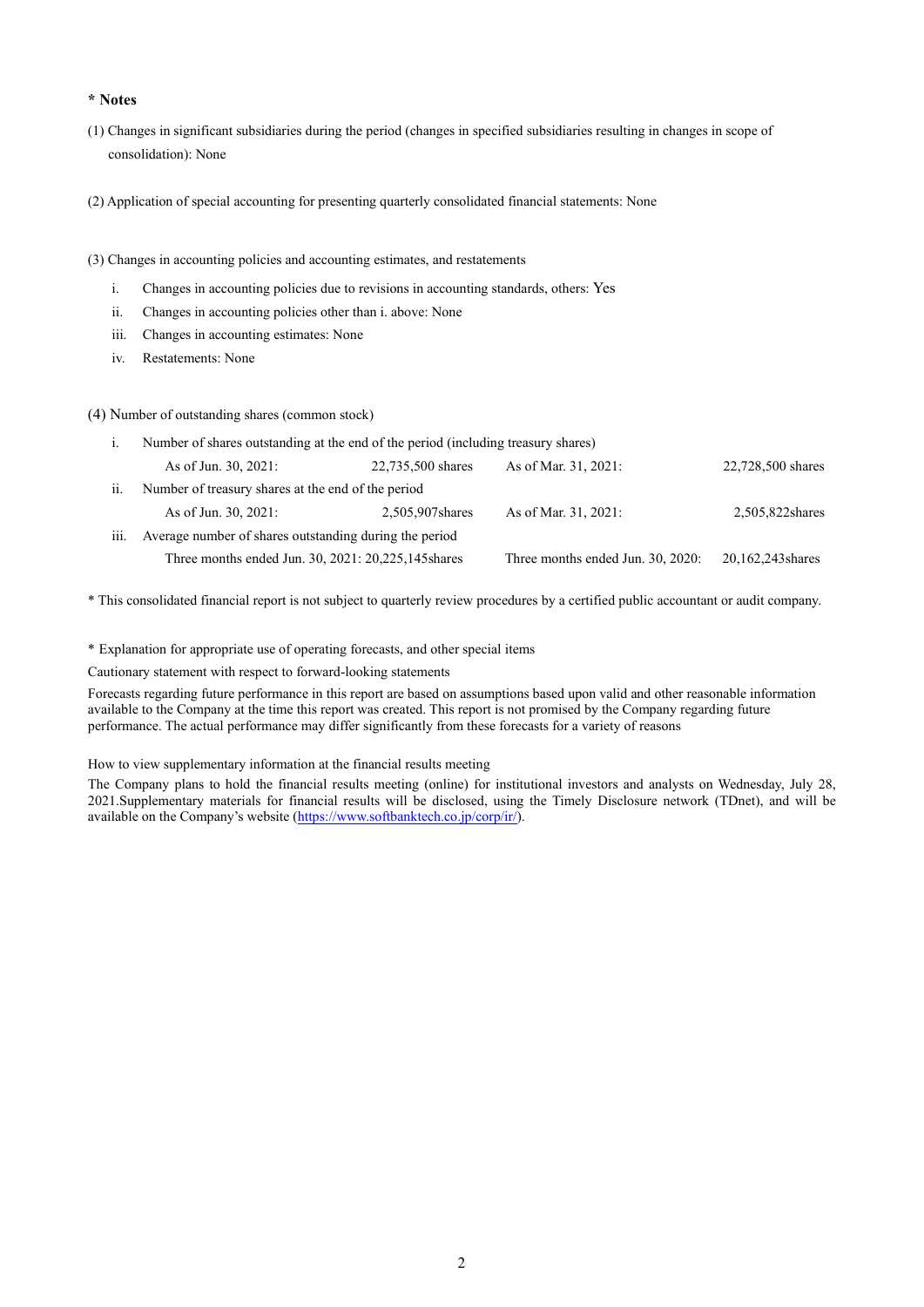### **\* Notes**

- (1) Changes in significant subsidiaries during the period (changes in specified subsidiaries resulting in changes in scope of consolidation): None
- (2) Application of special accounting for presenting quarterly consolidated financial statements: None
- (3) Changes in accounting policies and accounting estimates, and restatements
	- i. Changes in accounting policies due to revisions in accounting standards, others: Yes
	- ii. Changes in accounting policies other than i. above: None
	- iii. Changes in accounting estimates: None
	- iv. Restatements: None

### (4) Number of outstanding shares (common stock)

| $\mathbf{1}$ . | Number of shares outstanding at the end of the period (including treasury shares) |                   |                                   |                   |  |  |  |
|----------------|-----------------------------------------------------------------------------------|-------------------|-----------------------------------|-------------------|--|--|--|
|                | As of Jun. 30, 2021:                                                              | 22,735,500 shares | As of Mar. 31, 2021:              | 22,728,500 shares |  |  |  |
| 11.            | Number of treasury shares at the end of the period                                |                   |                                   |                   |  |  |  |
|                | As of Jun. 30, 2021:                                                              | 2,505,907 shares  | As of Mar. 31, 2021:              | 2,505,822 shares  |  |  |  |
| iii.           | Average number of shares outstanding during the period                            |                   |                                   |                   |  |  |  |
|                | Three months ended Jun. 30, 2021: 20, 225, 145 shares                             |                   | Three months ended Jun. 30, 2020: | 20,162,243 shares |  |  |  |

\* This consolidated financial report is not subject to quarterly review procedures by a certified public accountant or audit company.

\* Explanation for appropriate use of operating forecasts, and other special items

### Cautionary statement with respect to forward-looking statements

Forecasts regarding future performance in this report are based on assumptions based upon valid and other reasonable information available to the Company at the time this report was created. This report is not promised by the Company regarding future performance. The actual performance may differ significantly from these forecasts for a variety of reasons

How to view supplementary information at the financial results meeting

The Company plans to hold the financial results meeting (online) for institutional investors and analysts on Wednesday, July 28, 2021.Supplementary materials for financial results will be disclosed, using the Timely Disclosure network (TDnet), and will be available on the Company's website [\(https://www.softbanktech.co.jp/corp/ir/\)](https://www.softbanktech.co.jp/corp/ir/).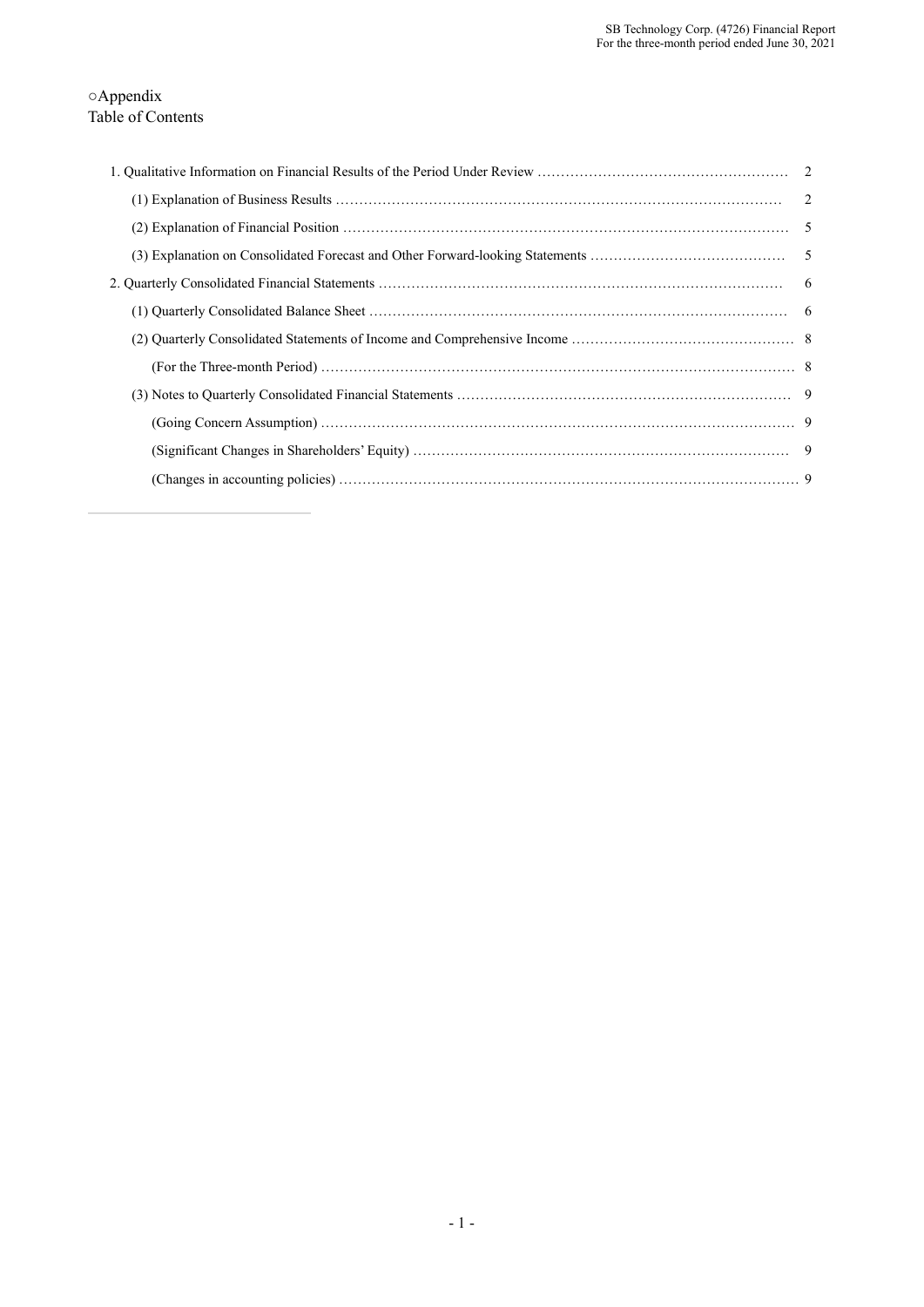# ○Appendix Table of Contents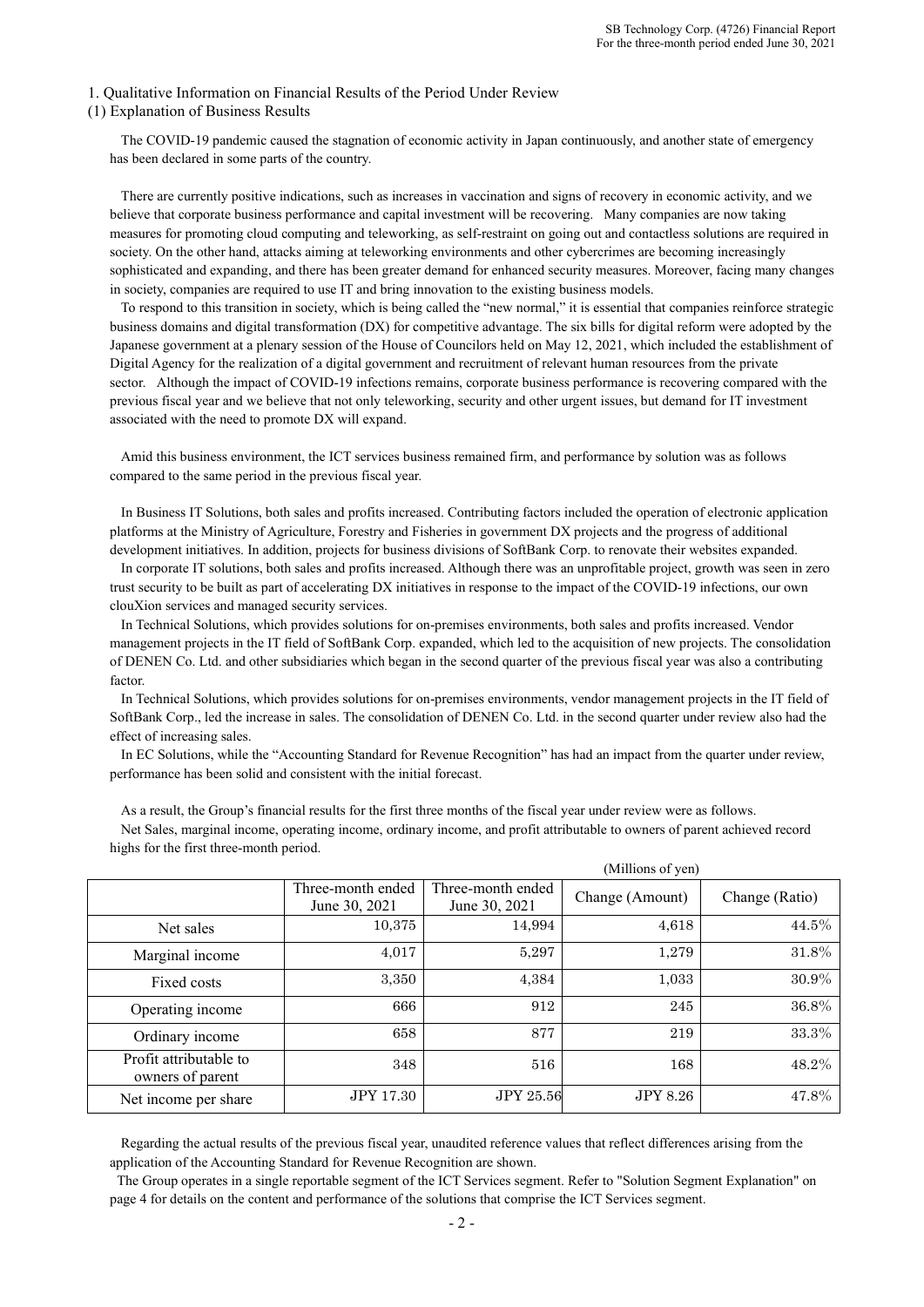# 1. Qualitative Information on Financial Results of the Period Under Review

## (1) Explanation of Business Results

The COVID-19 pandemic caused the stagnation of economic activity in Japan continuously, and another state of emergency has been declared in some parts of the country.

There are currently positive indications, such as increases in vaccination and signs of recovery in economic activity, and we believe that corporate business performance and capital investment will be recovering. Many companies are now taking measures for promoting cloud computing and teleworking, as self-restraint on going out and contactless solutions are required in society. On the other hand, attacks aiming at teleworking environments and other cybercrimes are becoming increasingly sophisticated and expanding, and there has been greater demand for enhanced security measures. Moreover, facing many changes in society, companies are required to use IT and bring innovation to the existing business models.

To respond to this transition in society, which is being called the "new normal," it is essential that companies reinforce strategic business domains and digital transformation (DX) for competitive advantage. The six bills for digital reform were adopted by the Japanese government at a plenary session of the House of Councilors held on May 12, 2021, which included the establishment of Digital Agency for the realization of a digital government and recruitment of relevant human resources from the private sector. Although the impact of COVID-19 infections remains, corporate business performance is recovering compared with the previous fiscal year and we believe that not only teleworking, security and other urgent issues, but demand for IT investment associated with the need to promote DX will expand.

Amid this business environment, the ICT services business remained firm, and performance by solution was as follows compared to the same period in the previous fiscal year.

In Business IT Solutions, both sales and profits increased. Contributing factors included the operation of electronic application platforms at the Ministry of Agriculture, Forestry and Fisheries in government DX projects and the progress of additional development initiatives. In addition, projects for business divisions of SoftBank Corp. to renovate their websites expanded.

In corporate IT solutions, both sales and profits increased. Although there was an unprofitable project, growth was seen in zero trust security to be built as part of accelerating DX initiatives in response to the impact of the COVID-19 infections, our own clouXion services and managed security services.

In Technical Solutions, which provides solutions for on-premises environments, both sales and profits increased. Vendor management projects in the IT field of SoftBank Corp. expanded, which led to the acquisition of new projects. The consolidation of DENEN Co. Ltd. and other subsidiaries which began in the second quarter of the previous fiscal year was also a contributing factor.

In Technical Solutions, which provides solutions for on-premises environments, vendor management projects in the IT field of SoftBank Corp., led the increase in sales. The consolidation of DENEN Co. Ltd. in the second quarter under review also had the effect of increasing sales.

In EC Solutions, while the "Accounting Standard for Revenue Recognition" has had an impact from the quarter under review, performance has been solid and consistent with the initial forecast.

|                                            | (Millions of yen)                  |                                    |                 |                |  |  |  |
|--------------------------------------------|------------------------------------|------------------------------------|-----------------|----------------|--|--|--|
|                                            | Three-month ended<br>June 30, 2021 | Three-month ended<br>June 30, 2021 | Change (Amount) | Change (Ratio) |  |  |  |
| Net sales                                  | 10,375                             | 14.994                             | 4,618           | $44.5\%$       |  |  |  |
| Marginal income                            | 4,017                              | 5.297                              | 1,279           | 31.8%          |  |  |  |
| Fixed costs                                | 3,350                              | 4,384                              | 1.033           | 30.9%          |  |  |  |
| Operating income                           | 666                                | 912                                | 245             | 36.8%          |  |  |  |
| Ordinary income                            | 658                                | 877                                | 219             | 33.3%          |  |  |  |
| Profit attributable to<br>owners of parent | 348                                | 516                                | 168             | 48.2%          |  |  |  |
| Net income per share                       | <b>JPY 17.30</b>                   | <b>JPY 25.56</b>                   | JPY 8.26        | 47.8%          |  |  |  |

As a result, the Group's financial results for the first three months of the fiscal year under review were as follows.

Net Sales, marginal income, operating income, ordinary income, and profit attributable to owners of parent achieved record highs for the first three-month period.

Regarding the actual results of the previous fiscal year, unaudited reference values that reflect differences arising from the application of the Accounting Standard for Revenue Recognition are shown.

The Group operates in a single reportable segment of the ICT Services segment. Refer to "Solution Segment Explanation" on page 4 for details on the content and performance of the solutions that comprise the ICT Services segment.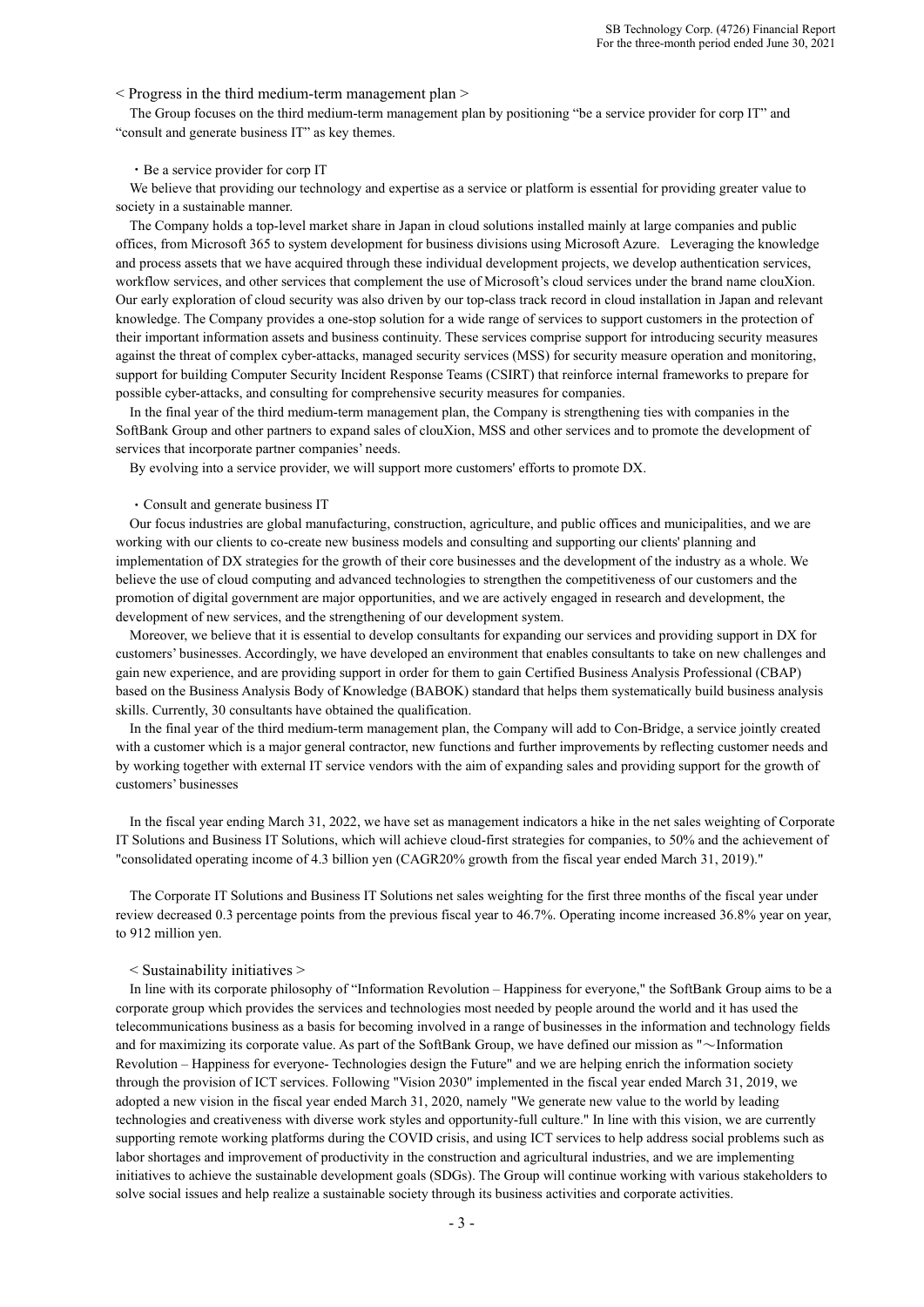#### < Progress in the third medium-term management plan >

The Group focuses on the third medium-term management plan by positioning "be a service provider for corp IT" and "consult and generate business IT" as key themes.

#### ・Be a service provider for corp IT

We believe that providing our technology and expertise as a service or platform is essential for providing greater value to society in a sustainable manner.

The Company holds a top-level market share in Japan in cloud solutions installed mainly at large companies and public offices, from Microsoft 365 to system development for business divisions using Microsoft Azure. Leveraging the knowledge and process assets that we have acquired through these individual development projects, we develop authentication services, workflow services, and other services that complement the use of Microsoft's cloud services under the brand name clouXion. Our early exploration of cloud security was also driven by our top-class track record in cloud installation in Japan and relevant knowledge. The Company provides a one-stop solution for a wide range of services to support customers in the protection of their important information assets and business continuity. These services comprise support for introducing security measures against the threat of complex cyber-attacks, managed security services (MSS) for security measure operation and monitoring, support for building Computer Security Incident Response Teams (CSIRT) that reinforce internal frameworks to prepare for possible cyber-attacks, and consulting for comprehensive security measures for companies.

In the final year of the third medium-term management plan, the Company is strengthening ties with companies in the SoftBank Group and other partners to expand sales of clouXion, MSS and other services and to promote the development of services that incorporate partner companies' needs.

By evolving into a service provider, we will support more customers' efforts to promote DX.

### ・Consult and generate business IT

Our focus industries are global manufacturing, construction, agriculture, and public offices and municipalities, and we are working with our clients to co-create new business models and consulting and supporting our clients' planning and implementation of DX strategies for the growth of their core businesses and the development of the industry as a whole. We believe the use of cloud computing and advanced technologies to strengthen the competitiveness of our customers and the promotion of digital government are major opportunities, and we are actively engaged in research and development, the development of new services, and the strengthening of our development system.

Moreover, we believe that it is essential to develop consultants for expanding our services and providing support in DX for customers' businesses. Accordingly, we have developed an environment that enables consultants to take on new challenges and gain new experience, and are providing support in order for them to gain Certified Business Analysis Professional (CBAP) based on the Business Analysis Body of Knowledge (BABOK) standard that helps them systematically build business analysis skills. Currently, 30 consultants have obtained the qualification.

In the final year of the third medium-term management plan, the Company will add to Con-Bridge, a service jointly created with a customer which is a major general contractor, new functions and further improvements by reflecting customer needs and by working together with external IT service vendors with the aim of expanding sales and providing support for the growth of customers' businesses

In the fiscal year ending March 31, 2022, we have set as management indicators a hike in the net sales weighting of Corporate IT Solutions and Business IT Solutions, which will achieve cloud-first strategies for companies, to 50% and the achievement of "consolidated operating income of 4.3 billion yen (CAGR20% growth from the fiscal year ended March 31, 2019)."

The Corporate IT Solutions and Business IT Solutions net sales weighting for the first three months of the fiscal year under review decreased 0.3 percentage points from the previous fiscal year to 46.7%. Operating income increased 36.8% year on year, to 912 million yen.

#### < Sustainability initiatives >

In line with its corporate philosophy of "Information Revolution – Happiness for everyone," the SoftBank Group aims to be a corporate group which provides the services and technologies most needed by people around the world and it has used the telecommunications business as a basis for becoming involved in a range of businesses in the information and technology fields and for maximizing its corporate value. As part of the SoftBank Group, we have defined our mission as "~Information Revolution – Happiness for everyone- Technologies design the Future" and we are helping enrich the information society through the provision of ICT services. Following "Vision 2030" implemented in the fiscal year ended March 31, 2019, we adopted a new vision in the fiscal year ended March 31, 2020, namely "We generate new value to the world by leading technologies and creativeness with diverse work styles and opportunity-full culture." In line with this vision, we are currently supporting remote working platforms during the COVID crisis, and using ICT services to help address social problems such as labor shortages and improvement of productivity in the construction and agricultural industries, and we are implementing initiatives to achieve the sustainable development goals (SDGs). The Group will continue working with various stakeholders to solve social issues and help realize a sustainable society through its business activities and corporate activities.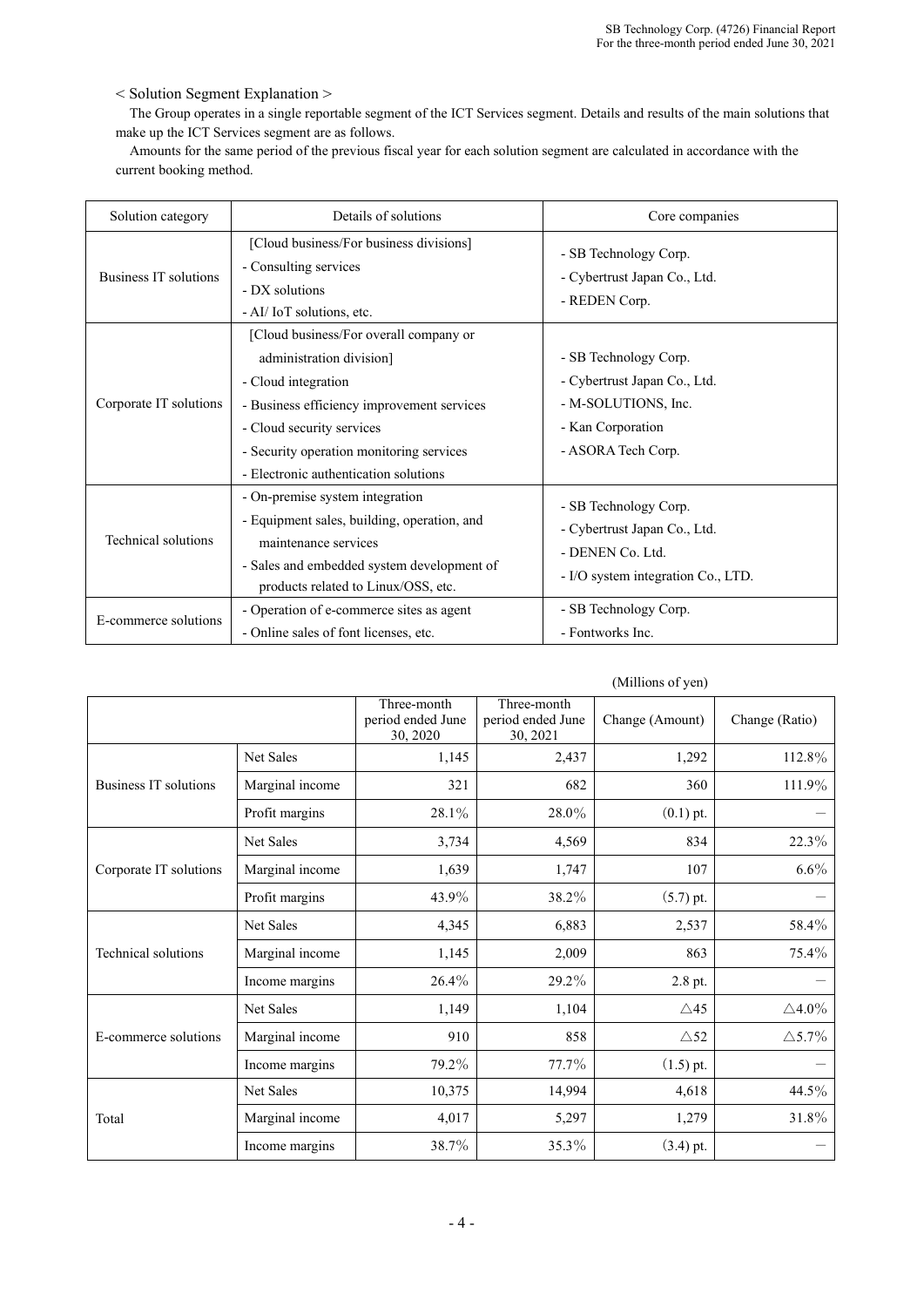< Solution Segment Explanation >

The Group operates in a single reportable segment of the ICT Services segment. Details and results of the main solutions that make up the ICT Services segment are as follows.

Amounts for the same period of the previous fiscal year for each solution segment are calculated in accordance with the current booking method.

| Solution category      | Details of solutions                                                                                                                                                                                                                                      | Core companies                                                                                                          |
|------------------------|-----------------------------------------------------------------------------------------------------------------------------------------------------------------------------------------------------------------------------------------------------------|-------------------------------------------------------------------------------------------------------------------------|
| Business IT solutions  | [Cloud business/For business divisions]<br>- Consulting services<br>- DX solutions<br>- AI/ IoT solutions, etc.                                                                                                                                           | - SB Technology Corp.<br>- Cybertrust Japan Co., Ltd.<br>- REDEN Corp.                                                  |
| Corporate IT solutions | [Cloud business/For overall company or<br>administration division]<br>- Cloud integration<br>- Business efficiency improvement services<br>- Cloud security services<br>- Security operation monitoring services<br>- Electronic authentication solutions | - SB Technology Corp.<br>- Cybertrust Japan Co., Ltd.<br>- M-SOLUTIONS, Inc.<br>- Kan Corporation<br>- ASORA Tech Corp. |
| Technical solutions    | - On-premise system integration<br>- Equipment sales, building, operation, and<br>maintenance services<br>- Sales and embedded system development of<br>products related to Linux/OSS, etc.                                                               | - SB Technology Corp.<br>- Cybertrust Japan Co., Ltd.<br>- DENEN Co. Ltd.<br>- I/O system integration Co., LTD.         |
| E-commerce solutions   | - Operation of e-commerce sites as agent<br>- Online sales of font licenses, etc.                                                                                                                                                                         | - SB Technology Corp.<br>- Fontworks Inc.                                                                               |

| (Millions of yen) |  |  |
|-------------------|--|--|
|-------------------|--|--|

|                        |                  | Three-month<br>period ended June<br>30, 2020 | Three-month<br>period ended June<br>30, 2021 | Change (Amount) | Change (Ratio)    |
|------------------------|------------------|----------------------------------------------|----------------------------------------------|-----------------|-------------------|
|                        | Net Sales        | 1,145                                        | 2,437                                        | 1,292           | 112.8%            |
| Business IT solutions  | Marginal income  | 321                                          | 682                                          | 360             | 111.9%            |
|                        | Profit margins   | 28.1%                                        | 28.0%                                        | $(0.1)$ pt.     |                   |
|                        | Net Sales        | 3,734                                        | 4,569                                        | 834             | 22.3%             |
| Corporate IT solutions | Marginal income  | 1,639                                        | 1,747                                        | 107             | $6.6\%$           |
|                        | Profit margins   | 43.9%                                        | 38.2%                                        | $(5.7)$ pt.     |                   |
|                        | <b>Net Sales</b> | 4,345                                        | 6,883                                        | 2,537           | 58.4%             |
| Technical solutions    | Marginal income  | 1,145                                        | 2,009                                        | 863             | 75.4%             |
|                        | Income margins   | 26.4%                                        | 29.2%                                        | 2.8 pt.         |                   |
|                        | Net Sales        | 1,149                                        | 1,104                                        | $\triangle$ 45  | $\triangle 4.0\%$ |
| E-commerce solutions   | Marginal income  | 910                                          | 858                                          | $\triangle$ 52  | $\triangle$ 5.7%  |
|                        | Income margins   | 79.2%                                        | 77.7%                                        | $(1.5)$ pt.     |                   |
| Total                  | Net Sales        | 10,375                                       | 14,994                                       | 4,618           | 44.5%             |
|                        | Marginal income  | 4,017                                        | 5,297                                        | 1,279           | 31.8%             |
|                        | Income margins   | 38.7%                                        | 35.3%                                        | $(3.4)$ pt.     |                   |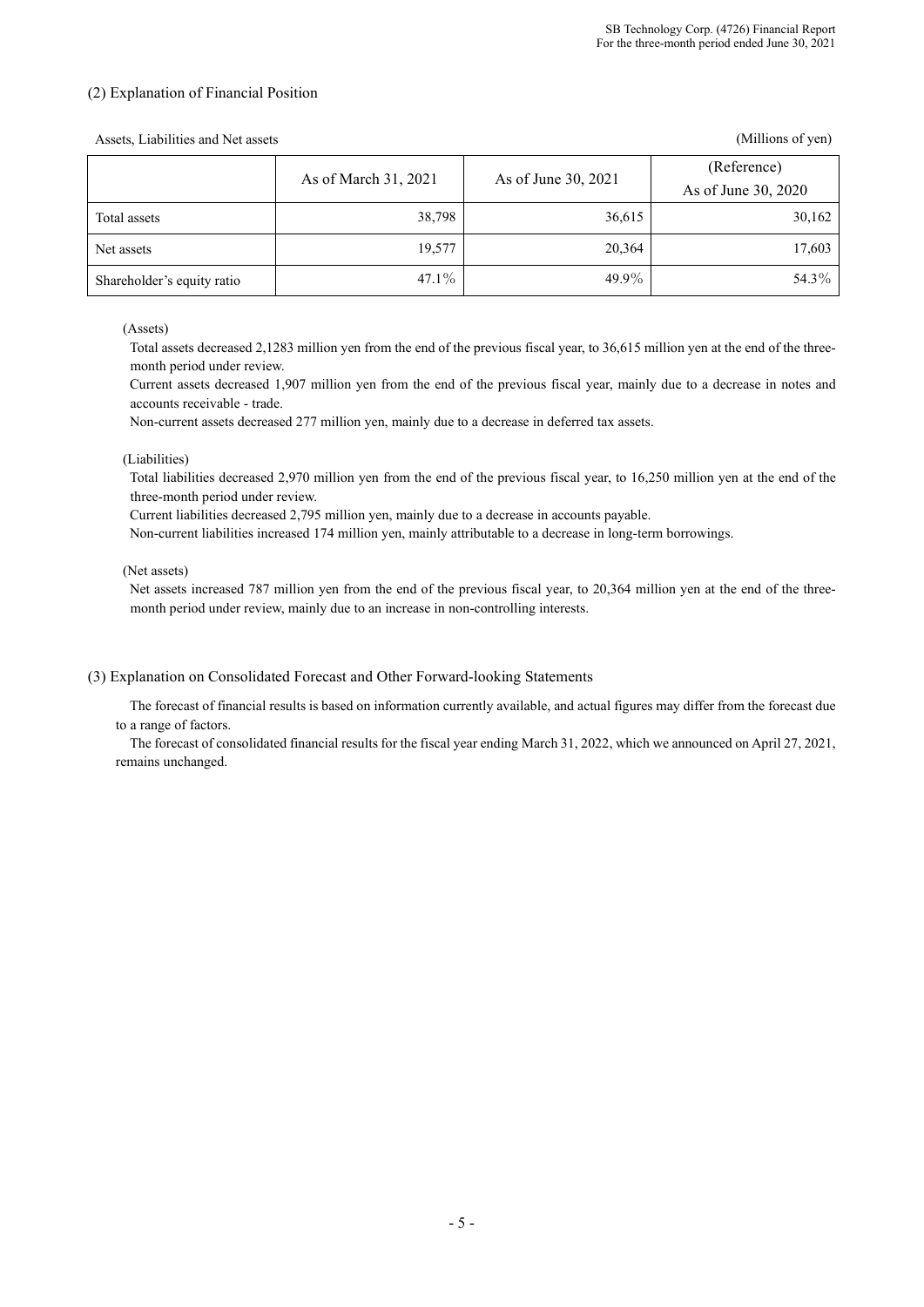# (2) Explanation of Financial Position

### Assets, Liabilities and Net assets (Millions of yen)

|                            | As of March 31, 2021 | As of June 30, 2021 | (Reference)<br>As of June 30, 2020 |
|----------------------------|----------------------|---------------------|------------------------------------|
| Total assets               | 38,798               | 36,615              | 30,162                             |
| Net assets                 | 19,577               | 20,364              | 17,603                             |
| Shareholder's equity ratio | $47.1\%$             | 49.9%               | 54.3%                              |

## (Assets)

Total assets decreased 2,1283 million yen from the end of the previous fiscal year, to 36,615 million yen at the end of the threemonth period under review.

Current assets decreased 1,907 million yen from the end of the previous fiscal year, mainly due to a decrease in notes and accounts receivable - trade.

Non-current assets decreased 277 million yen, mainly due to a decrease in deferred tax assets.

### (Liabilities)

Total liabilities decreased 2,970 million yen from the end of the previous fiscal year, to 16,250 million yen at the end of the three-month period under review.

Current liabilities decreased 2,795 million yen, mainly due to a decrease in accounts payable.

Non-current liabilities increased 174 million yen, mainly attributable to a decrease in long-term borrowings.

### (Net assets)

Net assets increased 787 million yen from the end of the previous fiscal year, to 20,364 million yen at the end of the threemonth period under review, mainly due to an increase in non-controlling interests.

### (3) Explanation on Consolidated Forecast and Other Forward-looking Statements

The forecast of financial results is based on information currently available, and actual figures may differ from the forecast due to a range of factors.

The forecast of consolidated financial results for the fiscal year ending March 31, 2022, which we announced on April 27, 2021, remains unchanged.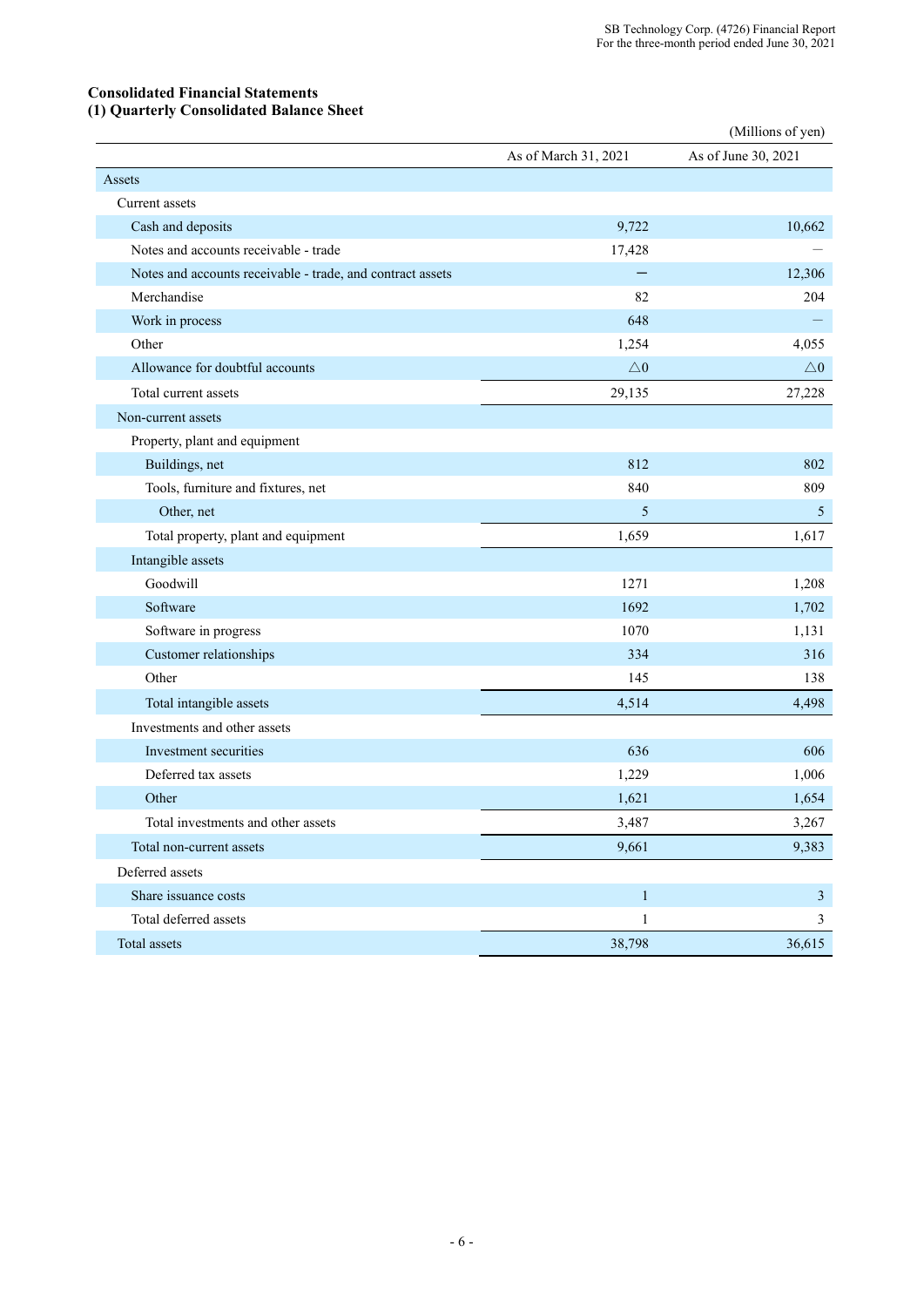# **Consolidated Financial Statements (1) Quarterly Consolidated Balance Sheet**

|                                                            |                      | (Millions of yen)   |
|------------------------------------------------------------|----------------------|---------------------|
|                                                            | As of March 31, 2021 | As of June 30, 2021 |
| Assets                                                     |                      |                     |
| Current assets                                             |                      |                     |
| Cash and deposits                                          | 9,722                | 10,662              |
| Notes and accounts receivable - trade                      | 17,428               |                     |
| Notes and accounts receivable - trade, and contract assets |                      | 12,306              |
| Merchandise                                                | 82                   | 204                 |
| Work in process                                            | 648                  |                     |
| Other                                                      | 1,254                | 4,055               |
| Allowance for doubtful accounts                            | $\triangle 0$        | $\triangle 0$       |
| Total current assets                                       | 29,135               | 27,228              |
| Non-current assets                                         |                      |                     |
| Property, plant and equipment                              |                      |                     |
| Buildings, net                                             | 812                  | 802                 |
| Tools, furniture and fixtures, net                         | 840                  | 809                 |
| Other, net                                                 | 5                    | 5                   |
| Total property, plant and equipment                        | 1,659                | 1,617               |
| Intangible assets                                          |                      |                     |
| Goodwill                                                   | 1271                 | 1,208               |
| Software                                                   | 1692                 | 1,702               |
| Software in progress                                       | 1070                 | 1,131               |
| Customer relationships                                     | 334                  | 316                 |
| Other                                                      | 145                  | 138                 |
| Total intangible assets                                    | 4,514                | 4,498               |
| Investments and other assets                               |                      |                     |
| Investment securities                                      | 636                  | 606                 |
| Deferred tax assets                                        | 1,229                | 1,006               |
| Other                                                      | 1,621                | 1,654               |
| Total investments and other assets                         | 3,487                | 3,267               |
| Total non-current assets                                   | 9,661                | 9,383               |
| Deferred assets                                            |                      |                     |
| Share issuance costs                                       | $\mathbf{1}$         | $\mathfrak{Z}$      |
| Total deferred assets                                      | $\mathbf{1}$         | $\mathfrak{Z}$      |
| Total assets                                               | 38,798               | 36,615              |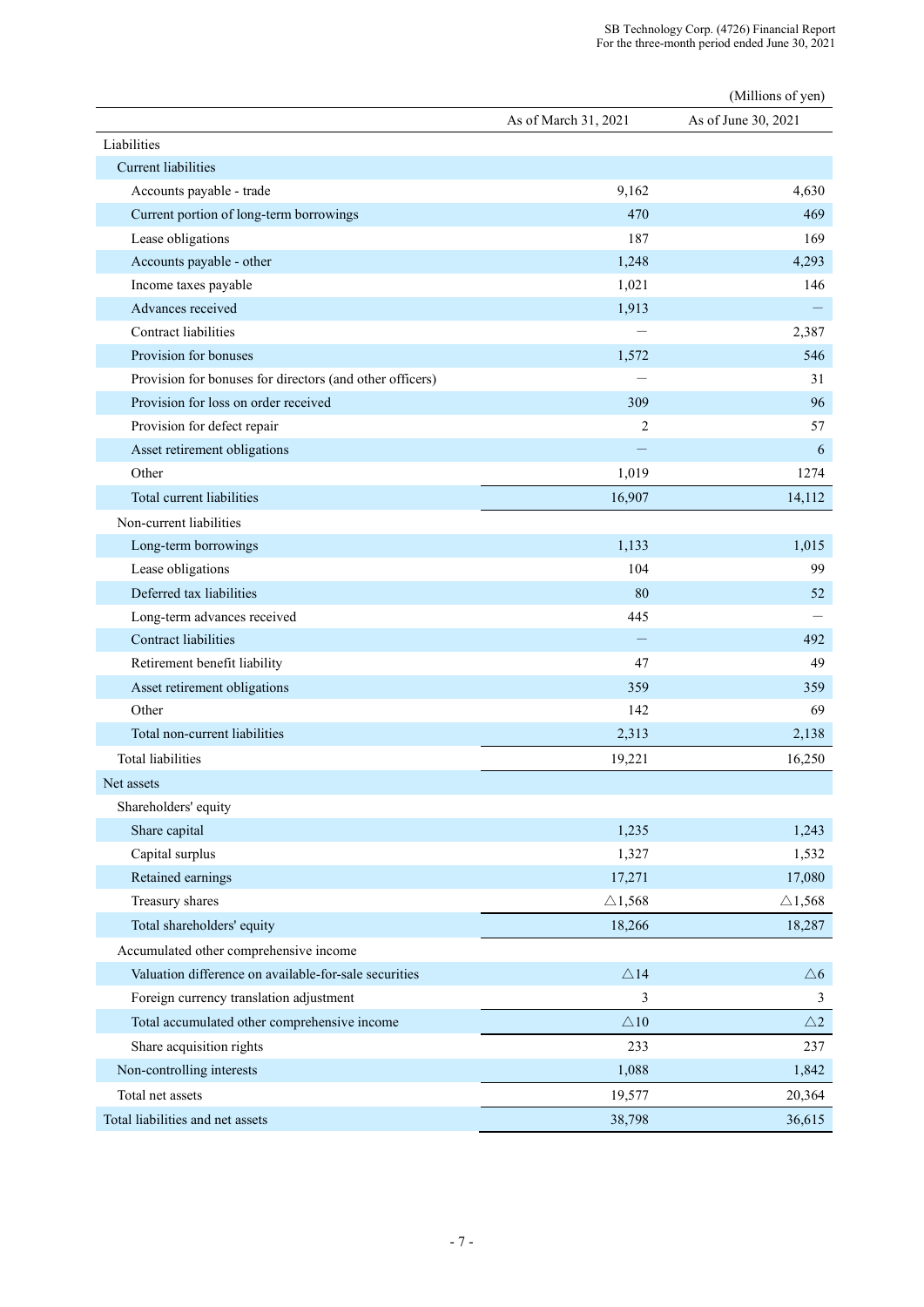| Liabilities                                              | As of March 31, 2021 | As of June 30, 2021 |
|----------------------------------------------------------|----------------------|---------------------|
|                                                          |                      |                     |
|                                                          |                      |                     |
| <b>Current</b> liabilities                               |                      |                     |
| Accounts payable - trade                                 | 9,162                | 4,630               |
| Current portion of long-term borrowings                  | 470                  | 469                 |
| Lease obligations                                        | 187                  | 169                 |
| Accounts payable - other                                 | 1,248                | 4,293               |
| Income taxes payable                                     | 1,021                | 146                 |
| Advances received                                        | 1,913                |                     |
| Contract liabilities                                     |                      | 2,387               |
| Provision for bonuses                                    | 1,572                | 546                 |
| Provision for bonuses for directors (and other officers) |                      | 31                  |
| Provision for loss on order received                     | 309                  | 96                  |
| Provision for defect repair                              | 2                    | 57                  |
| Asset retirement obligations                             |                      | 6                   |
| Other                                                    | 1,019                | 1274                |
| Total current liabilities                                | 16,907               | 14,112              |
| Non-current liabilities                                  |                      |                     |
| Long-term borrowings                                     | 1,133                | 1,015               |
| Lease obligations                                        | 104                  | 99                  |
| Deferred tax liabilities                                 | 80                   | 52                  |
| Long-term advances received                              | 445                  |                     |
| <b>Contract liabilities</b>                              | -                    | 492                 |
| Retirement benefit liability                             | 47                   | 49                  |
| Asset retirement obligations                             | 359                  | 359                 |
| Other                                                    | 142                  | 69                  |
| Total non-current liabilities                            | 2,313                | 2,138               |
| <b>Total liabilities</b>                                 | 19,221               | 16,250              |
| Net assets                                               |                      |                     |
| Shareholders' equity                                     |                      |                     |
| Share capital                                            | 1,235                | 1,243               |
| Capital surplus                                          | 1,327                | 1,532               |
| Retained earnings                                        | 17,271               | 17,080              |
| Treasury shares                                          | $\triangle$ 1,568    | $\triangle$ 1,568   |
| Total shareholders' equity                               | 18,266               | 18,287              |
| Accumulated other comprehensive income                   |                      |                     |
| Valuation difference on available-for-sale securities    | $\triangle$ 14       | $\triangle 6$       |
| Foreign currency translation adjustment                  | $\mathfrak{Z}$       | 3                   |
| Total accumulated other comprehensive income             | $\triangle10$        | $\triangle$ 2       |
| Share acquisition rights                                 | 233                  | 237                 |
| Non-controlling interests                                | 1,088                | 1,842               |
| Total net assets                                         | 19,577               | 20,364              |
| Total liabilities and net assets                         | 38,798               | 36,615              |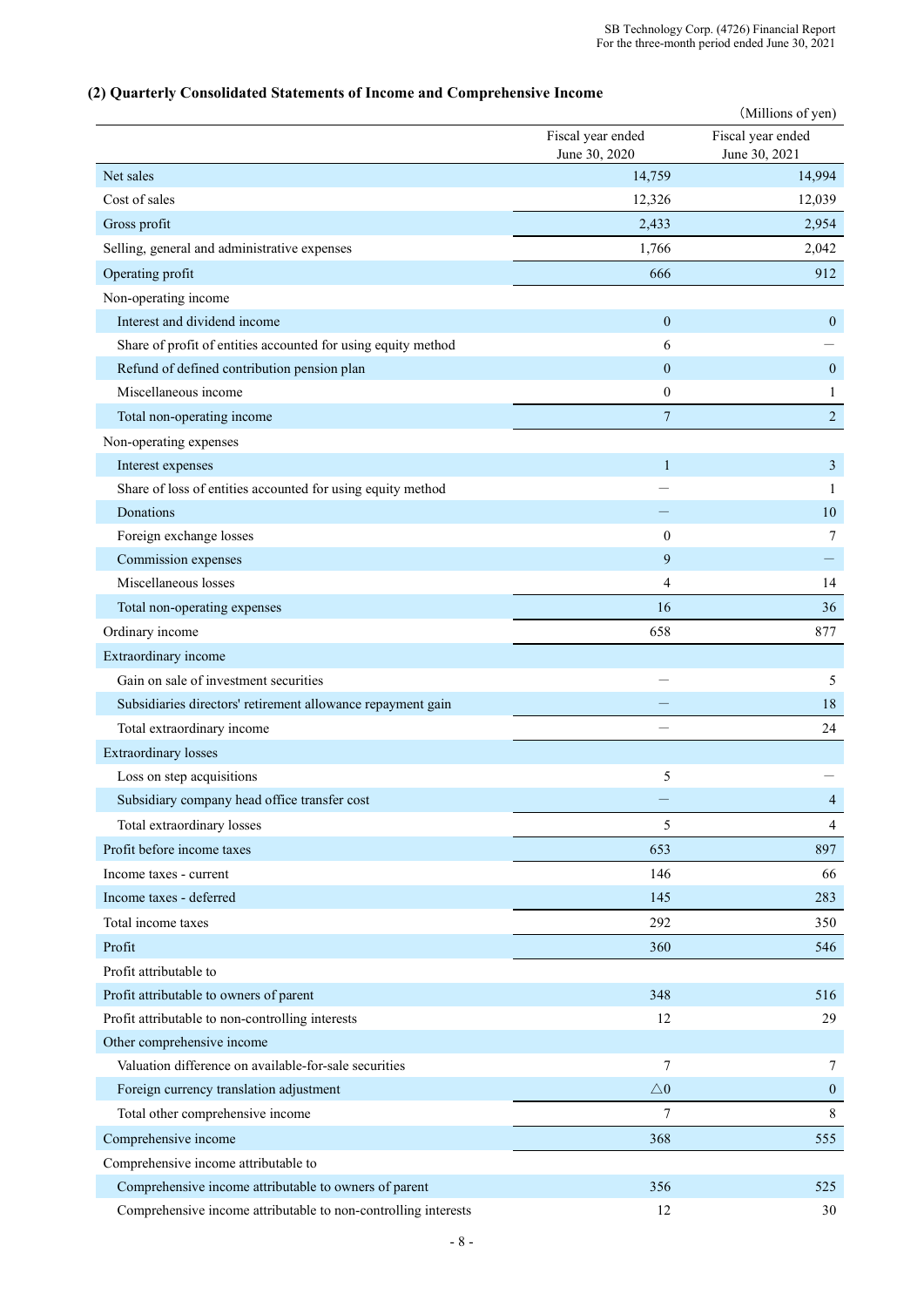|                                                                |                                    | (Millions of yen)                  |
|----------------------------------------------------------------|------------------------------------|------------------------------------|
|                                                                | Fiscal year ended<br>June 30, 2020 | Fiscal year ended<br>June 30, 2021 |
| Net sales                                                      | 14,759                             | 14,994                             |
| Cost of sales                                                  | 12,326                             | 12,039                             |
| Gross profit                                                   | 2,433                              | 2,954                              |
| Selling, general and administrative expenses                   | 1,766                              | 2,042                              |
| Operating profit                                               | 666                                | 912                                |
| Non-operating income                                           |                                    |                                    |
| Interest and dividend income                                   | $\boldsymbol{0}$                   | $\boldsymbol{0}$                   |
| Share of profit of entities accounted for using equity method  | 6                                  |                                    |
| Refund of defined contribution pension plan                    | $\boldsymbol{0}$                   | $\boldsymbol{0}$                   |
| Miscellaneous income                                           | 0                                  | 1                                  |
| Total non-operating income                                     | 7                                  | $\overline{c}$                     |
| Non-operating expenses                                         |                                    |                                    |
| Interest expenses                                              | $\mathbf{1}$                       | 3                                  |
| Share of loss of entities accounted for using equity method    |                                    | 1                                  |
| Donations                                                      |                                    | 10                                 |
| Foreign exchange losses                                        | $\boldsymbol{0}$                   | 7                                  |
| Commission expenses                                            | 9                                  |                                    |
| Miscellaneous losses                                           | 4                                  | 14                                 |
| Total non-operating expenses                                   | 16                                 | 36                                 |
| Ordinary income                                                | 658                                | 877                                |
| Extraordinary income                                           |                                    |                                    |
| Gain on sale of investment securities                          |                                    | 5                                  |
| Subsidiaries directors' retirement allowance repayment gain    |                                    | 18                                 |
| Total extraordinary income                                     |                                    | 24                                 |
| <b>Extraordinary losses</b>                                    |                                    |                                    |
| Loss on step acquisitions                                      | 5                                  |                                    |
| Subsidiary company head office transfer cost                   |                                    | 4                                  |
| Total extraordinary losses                                     | 5                                  | 4                                  |
| Profit before income taxes                                     | 653                                | 897                                |
| Income taxes - current                                         | 146                                | 66                                 |
| Income taxes - deferred                                        | 145                                | 283                                |
| Total income taxes                                             | 292                                | 350                                |
| Profit                                                         | 360                                | 546                                |
| Profit attributable to                                         |                                    |                                    |
| Profit attributable to owners of parent                        | 348                                | 516                                |
| Profit attributable to non-controlling interests               | 12                                 | 29                                 |
| Other comprehensive income                                     |                                    |                                    |
| Valuation difference on available-for-sale securities          | 7                                  | 7                                  |
| Foreign currency translation adjustment                        | $\triangle 0$                      | $\boldsymbol{0}$                   |
| Total other comprehensive income                               | 7                                  | 8                                  |
| Comprehensive income                                           | 368                                | 555                                |
| Comprehensive income attributable to                           |                                    |                                    |
| Comprehensive income attributable to owners of parent          | 356                                | 525                                |
| Comprehensive income attributable to non-controlling interests | 12                                 | 30                                 |

# **(2) Quarterly Consolidated Statements of Income and Comprehensive Income**